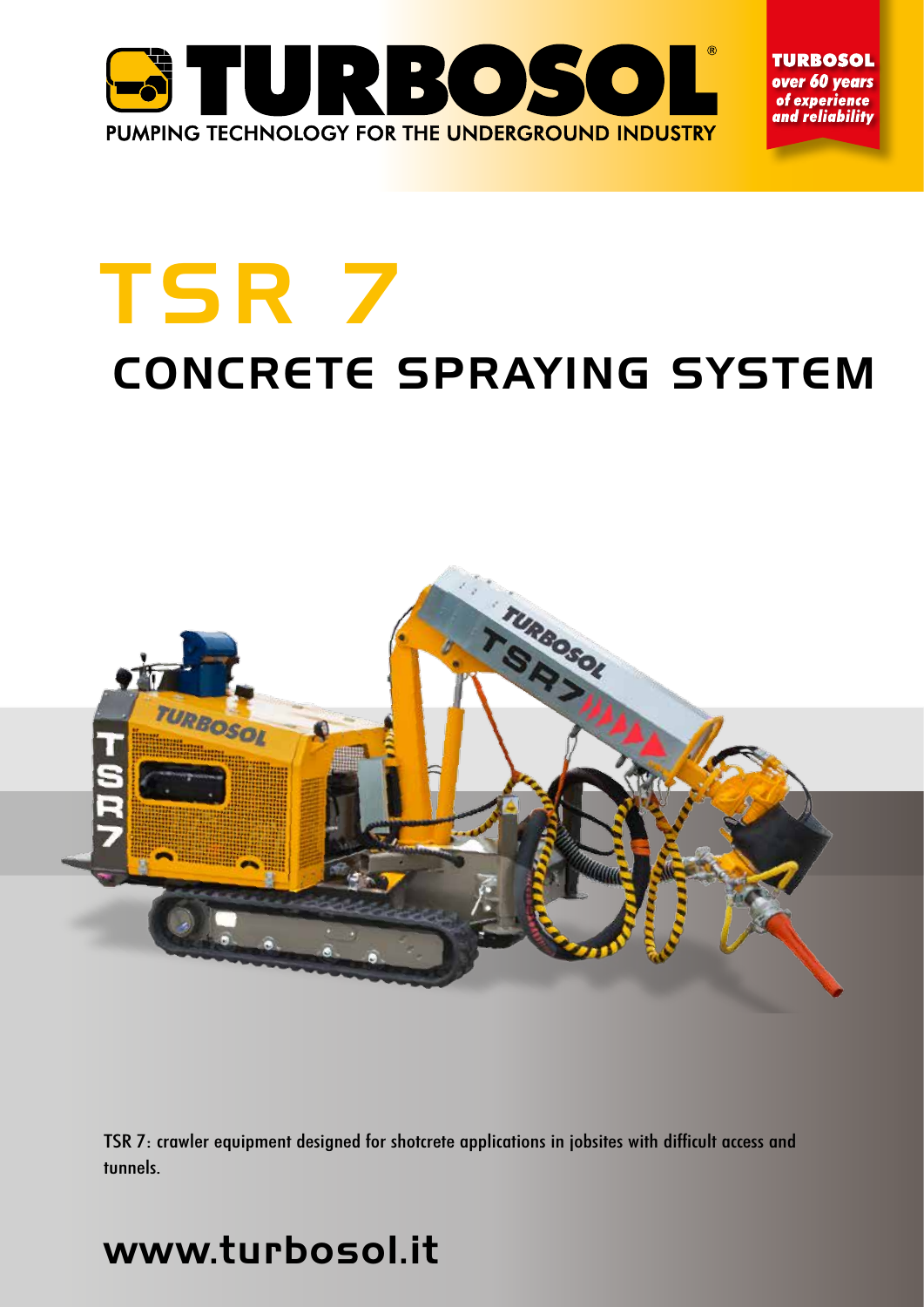

**TURBOSOL** over 60 years of experience and reliabilitv

# TSR 7 CONCRETE SPRAYING SYSTEM



TSR 7: crawler equipment designed for shotcrete applications in jobsites with difficult access and tunnels.

# www.turbosol.it